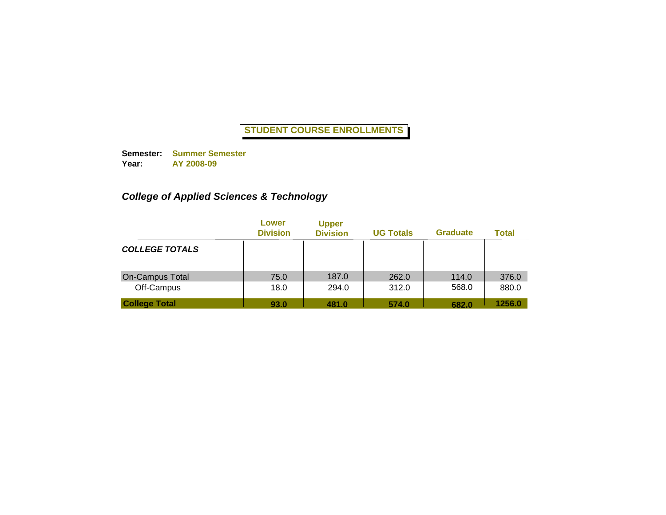**Semester: Summer Semester Year: AY 2008-09**

# *College of Applied Sciences & Technology*

|                       | Lower<br><b>Division</b> | <b>Upper</b><br><b>Division</b> | <b>UG Totals</b> | <b>Graduate</b> | <b>Total</b> |
|-----------------------|--------------------------|---------------------------------|------------------|-----------------|--------------|
| <b>COLLEGE TOTALS</b> |                          |                                 |                  |                 |              |
| On-Campus Total       | 75.0                     | 187.0                           | 262.0            | 114.0           | 376.0        |
| Off-Campus            | 18.0                     | 294.0                           | 312.0            | 568.0           | 880.0        |
| <b>College Total</b>  | 93.0                     | 481.0                           | 574.0            | 682.0           | 1256.0       |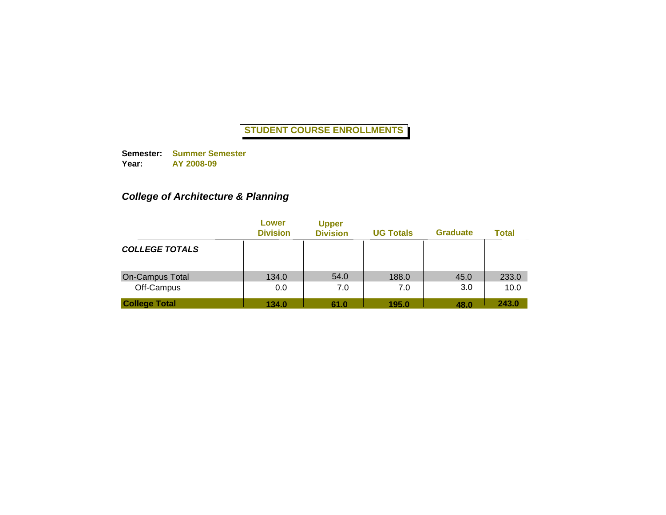**Semester: Summer Semester Year: AY 2008-09**

# *College of Architecture & Planning*

|                        | Lower<br><b>Division</b> | <b>Upper</b><br><b>Division</b> | <b>UG Totals</b> | <b>Graduate</b> | <b>Total</b> |
|------------------------|--------------------------|---------------------------------|------------------|-----------------|--------------|
| <b>COLLEGE TOTALS</b>  |                          |                                 |                  |                 |              |
| <b>On-Campus Total</b> | 134.0                    | 54.0                            | 188.0            | 45.0            | 233.0        |
| Off-Campus             | 0.0                      | 7.0                             | 7.0              | 3.0             | 10.0         |
| <b>College Total</b>   | 134.0                    | 61.0                            | 195.0            | 48.0            | 243.0        |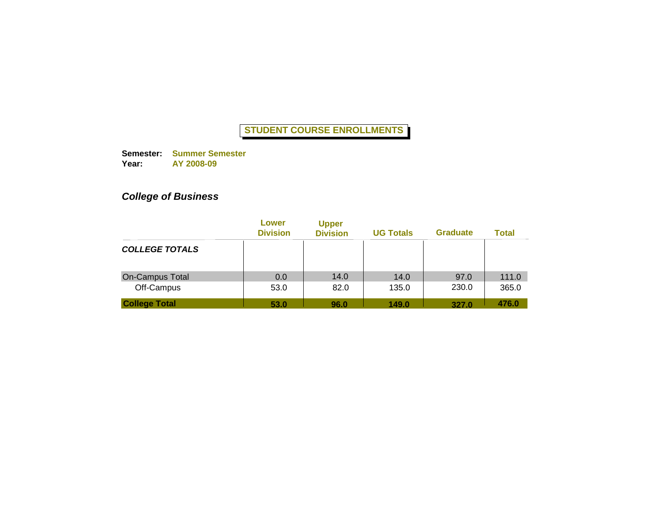**Semester: Summer Semester Year: AY 2008-09**

# *College of Business*

|                        | Lower<br><b>Division</b> | <b>Upper</b><br><b>Division</b> | <b>UG Totals</b> | <b>Graduate</b> | <b>Total</b> |
|------------------------|--------------------------|---------------------------------|------------------|-----------------|--------------|
| <b>COLLEGE TOTALS</b>  |                          |                                 |                  |                 |              |
| <b>On-Campus Total</b> | 0.0                      | 14.0                            | 14.0             | 97.0            | 111.0        |
| Off-Campus             | 53.0                     | 82.0                            | 135.0            | 230.0           | 365.0        |
| <b>College Total</b>   | 53.0                     | 96.0                            | 149.0            | 327.0           | 476.0        |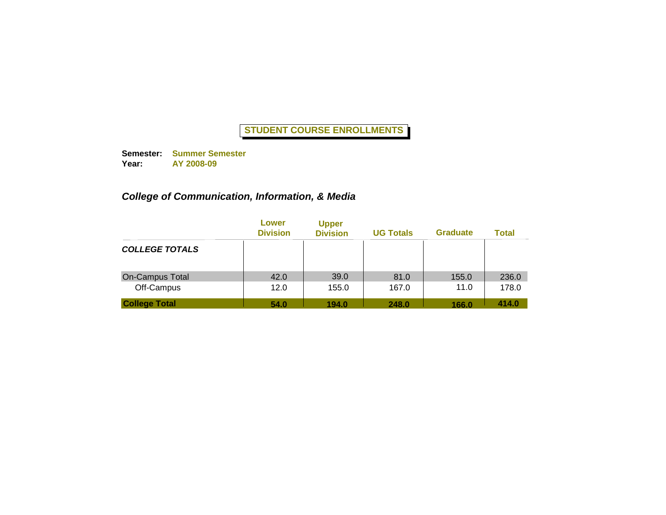**Semester: Summer Semester Year: AY 2008-09**

# *College of Communication, Information, & Media*

|                        | Lower<br><b>Division</b> | <b>Upper</b><br><b>Division</b> | <b>UG Totals</b> | <b>Graduate</b> | <b>Total</b> |
|------------------------|--------------------------|---------------------------------|------------------|-----------------|--------------|
| <b>COLLEGE TOTALS</b>  |                          |                                 |                  |                 |              |
| <b>On-Campus Total</b> | 42.0                     | 39.0                            | 81.0             | 155.0           | 236.0        |
| Off-Campus             | 12.0                     | 155.0                           | 167.0            | 11.0            | 178.0        |
| <b>College Total</b>   | 54.0                     | 194.0                           | 248.0            | 166.0           | 414.0        |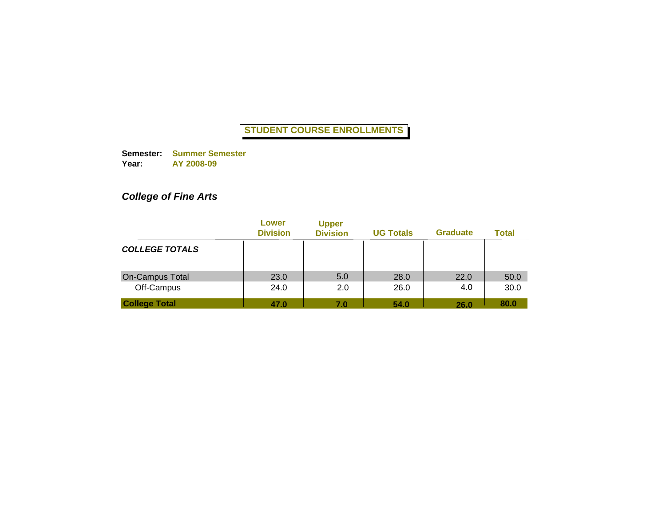**Semester: Summer Semester Year: AY 2008-09**

# *College of Fine Arts*

|                        | Lower<br><b>Division</b> | <b>Upper</b><br><b>Division</b> | <b>UG Totals</b> | <b>Graduate</b> | <b>Total</b> |
|------------------------|--------------------------|---------------------------------|------------------|-----------------|--------------|
| <b>COLLEGE TOTALS</b>  |                          |                                 |                  |                 |              |
| <b>On-Campus Total</b> | 23.0                     | 5.0                             | 28.0             | 22.0            | 50.0         |
| Off-Campus             | 24.0                     | 2.0                             | 26.0             | 4.0             | 30.0         |
| <b>College Total</b>   | 47.0                     | 7.0                             | 54.0             | 26.0            | 80.0         |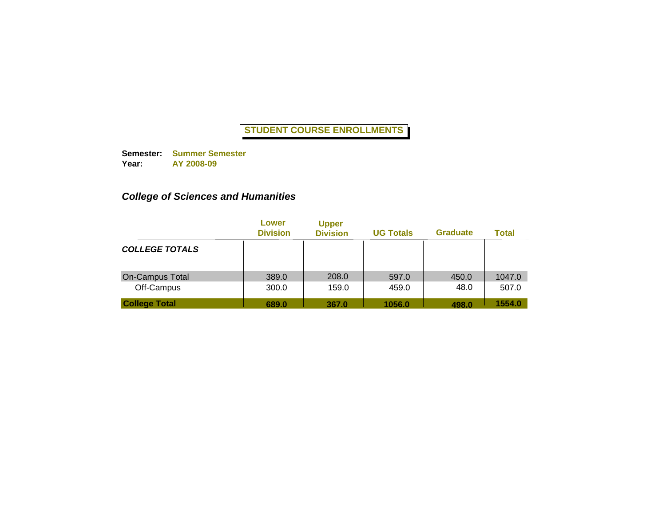**Semester: Summer Semester Year: AY 2008-09**

# *College of Sciences and Humanities*

|                       | Lower<br><b>Division</b> | <b>Upper</b><br><b>Division</b> | <b>UG Totals</b> | <b>Graduate</b> | <b>Total</b> |
|-----------------------|--------------------------|---------------------------------|------------------|-----------------|--------------|
| <b>COLLEGE TOTALS</b> |                          |                                 |                  |                 |              |
| On-Campus Total       | 389.0                    | 208.0                           | 597.0            | 450.0           | 1047.0       |
| Off-Campus            | 300.0                    | 159.0                           | 459.0            | 48.0            | 507.0        |
| <b>College Total</b>  | 689.0                    | 367.0                           | 1056.0           | 498.0           | 1554.0       |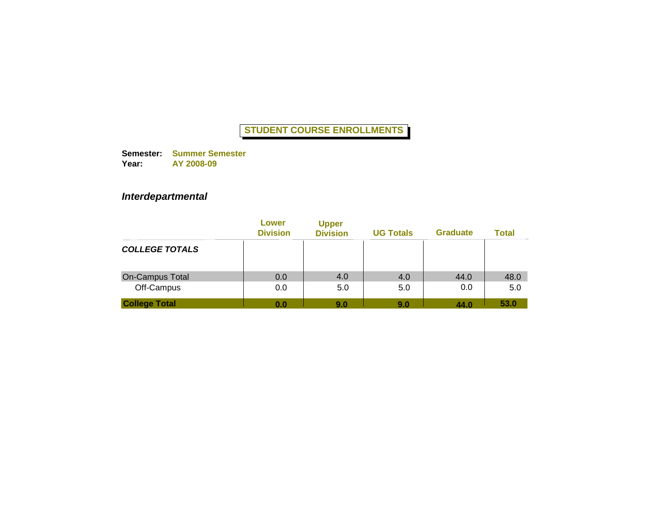**Semester: Summer Semester Year: AY 2008-09**

### *Interdepartmental*

|                        | Lower<br><b>Division</b> | <b>Upper</b><br><b>Division</b> | <b>UG Totals</b> | <b>Graduate</b> | <b>Total</b> |
|------------------------|--------------------------|---------------------------------|------------------|-----------------|--------------|
| <b>COLLEGE TOTALS</b>  |                          |                                 |                  |                 |              |
| <b>On-Campus Total</b> | 0.0                      | 4.0                             | 4.0              | 44.0            | 48.0         |
| Off-Campus             | 0.0                      | 5.0                             | 5.0              | 0.0             | 5.0          |
| <b>College Total</b>   | 0.0                      | 9.0                             | 9.0              | 44.0            | 53.0         |